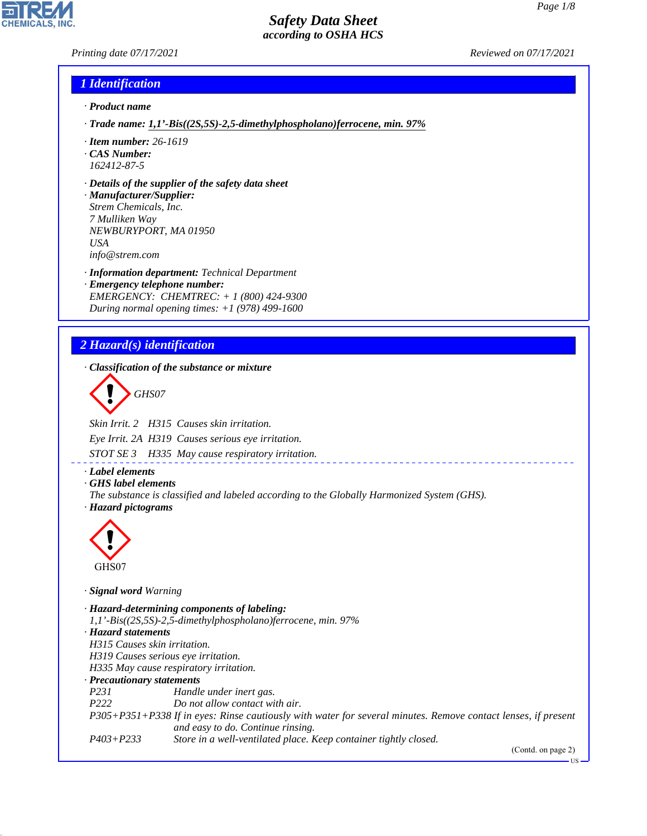### *Printing date 07/17/2021 Reviewed on 07/17/2021*

#### *1 Identification*

- *· Product name*
- *· Trade name: 1,1'-Bis((2S,5S)-2,5-dimethylphospholano)ferrocene, min. 97%*
- *· Item number: 26-1619*
- *· CAS Number: 162412-87-5*
- *· Details of the supplier of the safety data sheet*
- *· Manufacturer/Supplier: Strem Chemicals, Inc. 7 Mulliken Way NEWBURYPORT, MA 01950 USA info@strem.com*
- *· Information department: Technical Department · Emergency telephone number: EMERGENCY: CHEMTREC: + 1 (800) 424-9300 During normal opening times: +1 (978) 499-1600*

# *2 Hazard(s) identification*

*· Classification of the substance or mixture*

d~*GHS07*

*Skin Irrit. 2 H315 Causes skin irritation.*

*Eye Irrit. 2A H319 Causes serious eye irritation.*

*STOT SE 3 H335 May cause respiratory irritation.*

- *· Label elements*
- *· GHS label elements*
- *The substance is classified and labeled according to the Globally Harmonized System (GHS). · Hazard pictograms*



44.1.1

*· Signal word Warning*

*· Hazard-determining components of labeling: 1,1'-Bis((2S,5S)-2,5-dimethylphospholano)ferrocene, min. 97% · Hazard statements H315 Causes skin irritation. H319 Causes serious eye irritation. H335 May cause respiratory irritation. · Precautionary statements P231 Handle under inert gas. P222 Do not allow contact with air. P305+P351+P338 If in eyes: Rinse cautiously with water for several minutes. Remove contact lenses, if present and easy to do. Continue rinsing. P403+P233 Store in a well-ventilated place. Keep container tightly closed.*

(Contd. on page 2)

US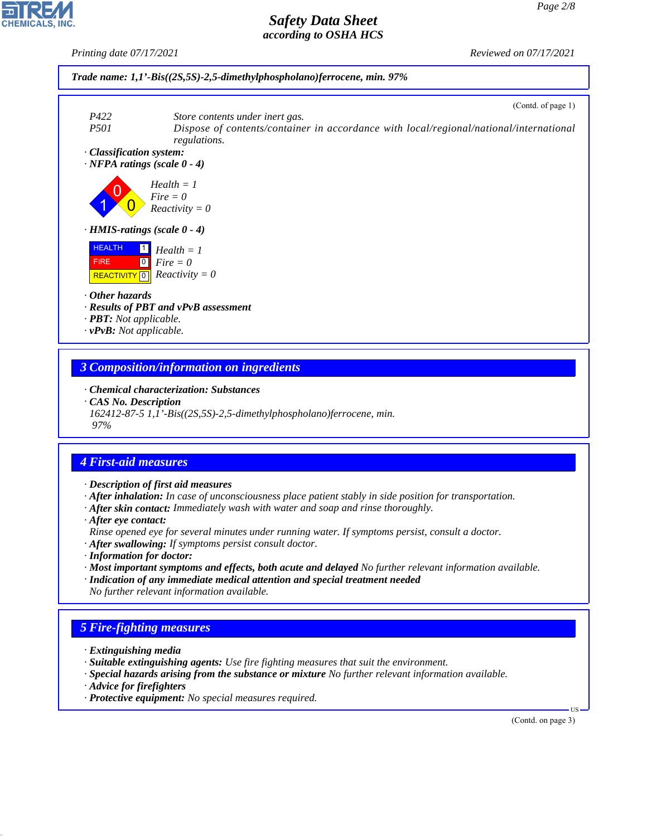*Printing date 07/17/2021 Reviewed on 07/17/2021*



### *3 Composition/information on ingredients*

*· Chemical characterization: Substances*

*· CAS No. Description*

*162412-87-5 1,1'-Bis((2S,5S)-2,5-dimethylphospholano)ferrocene, min. 97%*

# *4 First-aid measures*

- *· Description of first aid measures*
- *· After inhalation: In case of unconsciousness place patient stably in side position for transportation.*
- *· After skin contact: Immediately wash with water and soap and rinse thoroughly.*
- *· After eye contact:*
- *Rinse opened eye for several minutes under running water. If symptoms persist, consult a doctor.*
- *· After swallowing: If symptoms persist consult doctor.*
- *· Information for doctor:*
- *· Most important symptoms and effects, both acute and delayed No further relevant information available.*
- *· Indication of any immediate medical attention and special treatment needed No further relevant information available.*

# *5 Fire-fighting measures*

- *· Extinguishing media*
- *· Suitable extinguishing agents: Use fire fighting measures that suit the environment.*
- *· Special hazards arising from the substance or mixture No further relevant information available.*
- *· Advice for firefighters*

44.1.1

*· Protective equipment: No special measures required.*

(Contd. on page 3)

US

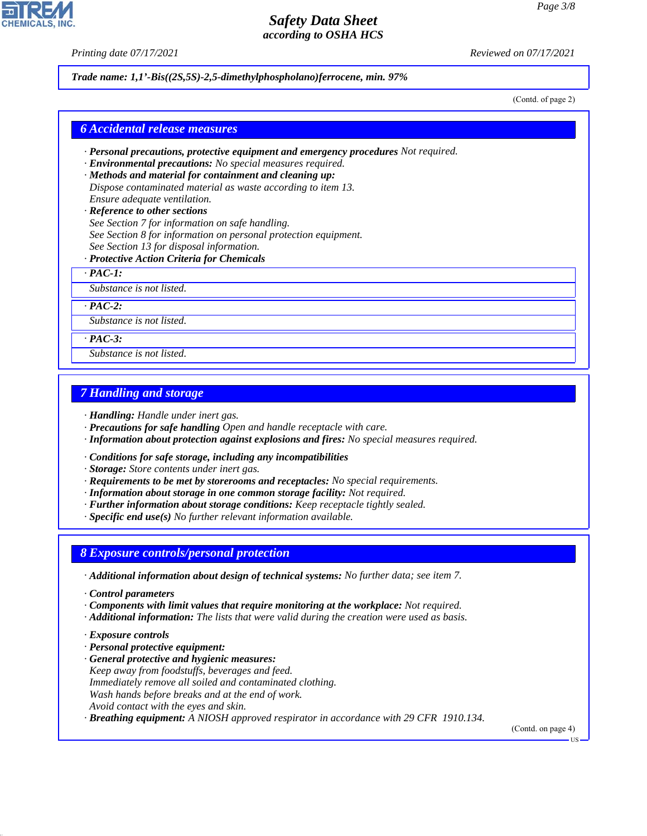*Printing date 07/17/2021 Reviewed on 07/17/2021*

*Trade name: 1,1'-Bis((2S,5S)-2,5-dimethylphospholano)ferrocene, min. 97%*

(Contd. of page 2)

#### *6 Accidental release measures*

- *· Personal precautions, protective equipment and emergency procedures Not required.*
- *· Environmental precautions: No special measures required.*
- *· Methods and material for containment and cleaning up: Dispose contaminated material as waste according to item 13. Ensure adequate ventilation.*
- *· Reference to other sections See Section 7 for information on safe handling. See Section 8 for information on personal protection equipment. See Section 13 for disposal information.*
- *· Protective Action Criteria for Chemicals*

*· PAC-1:*

*Substance is not listed.*

*· PAC-2:*

*Substance is not listed.*

*· PAC-3:*

*Substance is not listed.*

#### *7 Handling and storage*

*· Handling: Handle under inert gas.*

- *· Precautions for safe handling Open and handle receptacle with care.*
- *· Information about protection against explosions and fires: No special measures required.*
- *· Conditions for safe storage, including any incompatibilities*
- *· Storage: Store contents under inert gas.*
- *· Requirements to be met by storerooms and receptacles: No special requirements.*
- *· Information about storage in one common storage facility: Not required.*
- *· Further information about storage conditions: Keep receptacle tightly sealed.*
- *· Specific end use(s) No further relevant information available.*

#### *8 Exposure controls/personal protection*

- *· Additional information about design of technical systems: No further data; see item 7.*
- *· Control parameters*
- *· Components with limit values that require monitoring at the workplace: Not required.*
- *· Additional information: The lists that were valid during the creation were used as basis.*
- *· Exposure controls*

44.1.1

- *· Personal protective equipment:*
- *· General protective and hygienic measures: Keep away from foodstuffs, beverages and feed. Immediately remove all soiled and contaminated clothing. Wash hands before breaks and at the end of work. Avoid contact with the eyes and skin.*

*· Breathing equipment: A NIOSH approved respirator in accordance with 29 CFR 1910.134.*

(Contd. on page 4)



US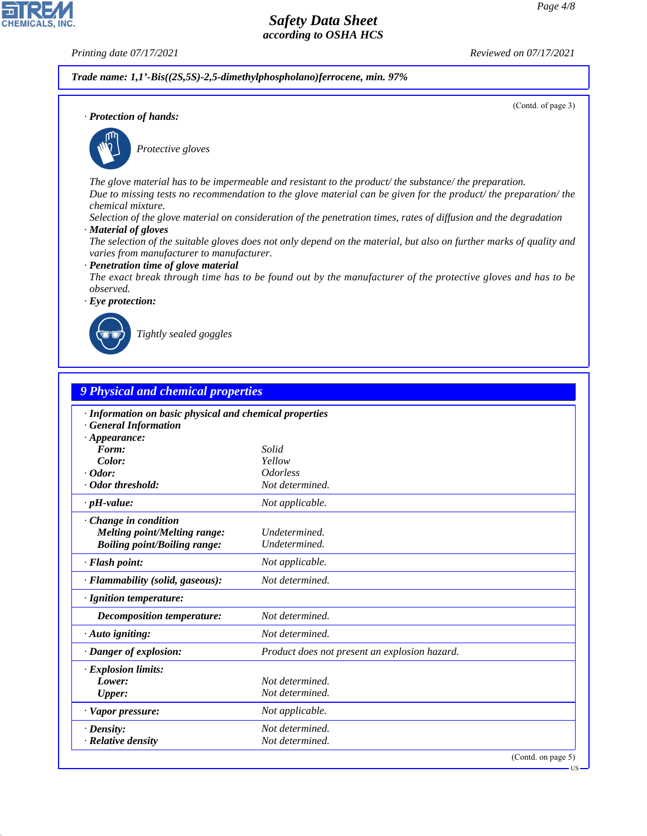**CHEMICALS, INC** 

*· Protection of hands:*

*Printing date 07/17/2021 Reviewed on 07/17/2021*

*Trade name: 1,1'-Bis((2S,5S)-2,5-dimethylphospholano)ferrocene, min. 97%*

(Contd. of page 3)



\_S*Protective gloves*

*The glove material has to be impermeable and resistant to the product/ the substance/ the preparation. Due to missing tests no recommendation to the glove material can be given for the product/ the preparation/ the chemical mixture.*

*Selection of the glove material on consideration of the penetration times, rates of diffusion and the degradation*

*· Material of gloves*

*The selection of the suitable gloves does not only depend on the material, but also on further marks of quality and varies from manufacturer to manufacturer.*

*· Penetration time of glove material*

*The exact break through time has to be found out by the manufacturer of the protective gloves and has to be observed.*

*· Eye protection:*



44.1.1

\_R*Tightly sealed goggles*

|                                     | · Information on basic physical and chemical properties |  |  |
|-------------------------------------|---------------------------------------------------------|--|--|
| <b>General Information</b>          |                                                         |  |  |
| $\cdot$ Appearance:                 |                                                         |  |  |
| Form:                               | Solid                                                   |  |  |
| Color:                              | Yellow                                                  |  |  |
| $\cdot$ Odor:                       | <i><u><b>Odorless</b></u></i>                           |  |  |
| · Odor threshold:                   | Not determined.                                         |  |  |
| $\cdot$ pH-value:                   | Not applicable.                                         |  |  |
| Change in condition                 |                                                         |  |  |
| Melting point/Melting range:        | Undetermined.                                           |  |  |
| <b>Boiling point/Boiling range:</b> | Undetermined.                                           |  |  |
| · Flash point:                      | Not applicable.                                         |  |  |
| · Flammability (solid, gaseous):    | Not determined.                                         |  |  |
| · Ignition temperature:             |                                                         |  |  |
| <b>Decomposition temperature:</b>   | Not determined.                                         |  |  |
| $\cdot$ Auto igniting:              | Not determined.                                         |  |  |
| · Danger of explosion:              | Product does not present an explosion hazard.           |  |  |
| · Explosion limits:                 |                                                         |  |  |
| Lower:                              | Not determined.                                         |  |  |
| <b>Upper:</b>                       | Not determined.                                         |  |  |
| · Vapor pressure:                   | Not applicable.                                         |  |  |
| $\cdot$ Density:                    | Not determined.                                         |  |  |
| $\cdot$ Relative density            | Not determined.                                         |  |  |

**US**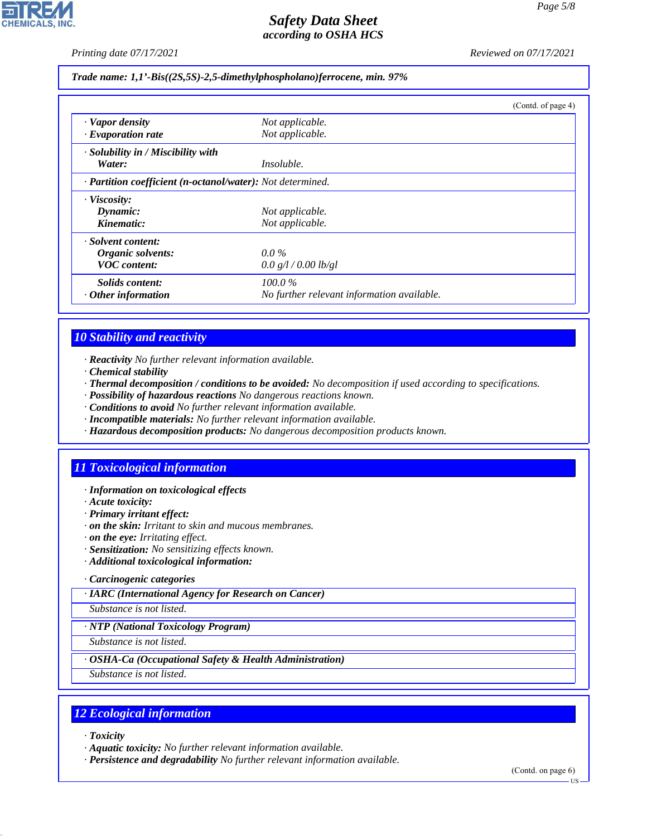

*Printing date 07/17/2021 Reviewed on 07/17/2021*

*Trade name: 1,1'-Bis((2S,5S)-2,5-dimethylphospholano)ferrocene, min. 97%*

|                                                            |                                            | (Contd. of page 4) |
|------------------------------------------------------------|--------------------------------------------|--------------------|
| $\cdot$ Vapor density                                      | Not applicable.                            |                    |
| $\cdot$ Evaporation rate                                   | Not applicable.                            |                    |
| $\cdot$ Solubility in / Miscibility with                   |                                            |                    |
| Water:                                                     | <i>Insoluble.</i>                          |                    |
| · Partition coefficient (n-octanol/water): Not determined. |                                            |                    |
| · Viscosity:                                               |                                            |                    |
| Dynamic:                                                   | Not applicable.                            |                    |
| Kinematic:                                                 | Not applicable.                            |                    |
| · Solvent content:                                         |                                            |                    |
| Organic solvents:                                          | $0.0\%$                                    |                    |
| <b>VOC</b> content:                                        | 0.0 g/l / 0.00 lb/gl                       |                    |
| Solids content:                                            | $100.0\%$                                  |                    |
| $\cdot$ Other information                                  | No further relevant information available. |                    |

# *10 Stability and reactivity*

- *· Reactivity No further relevant information available.*
- *· Chemical stability*
- *· Thermal decomposition / conditions to be avoided: No decomposition if used according to specifications.*
- *· Possibility of hazardous reactions No dangerous reactions known.*
- *· Conditions to avoid No further relevant information available.*
- *· Incompatible materials: No further relevant information available.*
- *· Hazardous decomposition products: No dangerous decomposition products known.*

# *11 Toxicological information*

- *· Information on toxicological effects*
- *· Acute toxicity:*
- *· Primary irritant effect:*
- *· on the skin: Irritant to skin and mucous membranes.*
- *· on the eye: Irritating effect.*
- *· Sensitization: No sensitizing effects known.*
- *· Additional toxicological information:*

#### *· Carcinogenic categories*

*· IARC (International Agency for Research on Cancer)*

*Substance is not listed.*

#### *· NTP (National Toxicology Program)*

*Substance is not listed.*

#### *· OSHA-Ca (Occupational Safety & Health Administration)*

*Substance is not listed.*

# *12 Ecological information*

*· Toxicity*

44.1.1

- *· Aquatic toxicity: No further relevant information available.*
- *· Persistence and degradability No further relevant information available.*

(Contd. on page 6) US

*Page 5/8*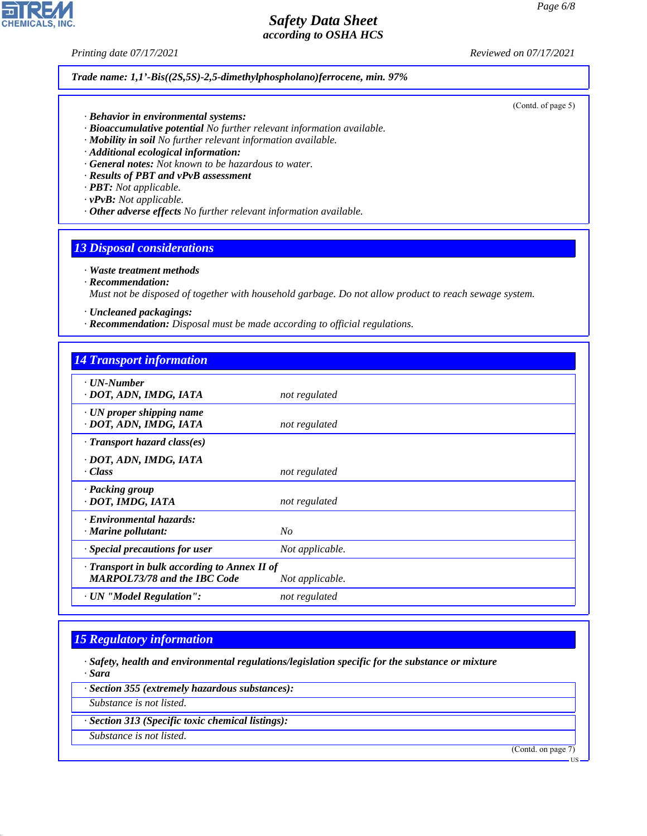*Printing date 07/17/2021 Reviewed on 07/17/2021*

#### *Trade name: 1,1'-Bis((2S,5S)-2,5-dimethylphospholano)ferrocene, min. 97%*

(Contd. of page 5)

- *· Behavior in environmental systems:*
- *· Bioaccumulative potential No further relevant information available.*
- *· Mobility in soil No further relevant information available.*
- *· Additional ecological information:*
- *· General notes: Not known to be hazardous to water.*
- *· Results of PBT and vPvB assessment*
- *· PBT: Not applicable.*
- *· vPvB: Not applicable.*
- *· Other adverse effects No further relevant information available.*

#### *13 Disposal considerations*

#### *· Waste treatment methods*

*· Recommendation:*

*Must not be disposed of together with household garbage. Do not allow product to reach sewage system.*

- *· Uncleaned packagings:*
- *· Recommendation: Disposal must be made according to official regulations.*

| <b>14 Transport information</b>                                                     |                 |
|-------------------------------------------------------------------------------------|-----------------|
| $\cdot$ UN-Number<br>· DOT, ADN, IMDG, IATA                                         | not regulated   |
| $\cdot$ UN proper shipping name<br>· DOT, ADN, IMDG, IATA                           | not regulated   |
| $\cdot$ Transport hazard class(es)                                                  |                 |
| · DOT, ADN, IMDG, IATA<br>· Class                                                   | not regulated   |
| · Packing group<br>· DOT, IMDG, IATA                                                | not regulated   |
| · Environmental hazards:<br>$\cdot$ Marine pollutant:                               | No              |
| Special precautions for user                                                        | Not applicable. |
| · Transport in bulk according to Annex II of<br><b>MARPOL73/78 and the IBC Code</b> | Not applicable. |
| · UN "Model Regulation":                                                            | not regulated   |

#### *15 Regulatory information*

- *· Safety, health and environmental regulations/legislation specific for the substance or mixture · Sara*
- *· Section 355 (extremely hazardous substances):*
- *Substance is not listed.*
- *· Section 313 (Specific toxic chemical listings):*
- *Substance is not listed.*

44.1.1

(Contd. on page 7)

US

**CHEMICALS, INC**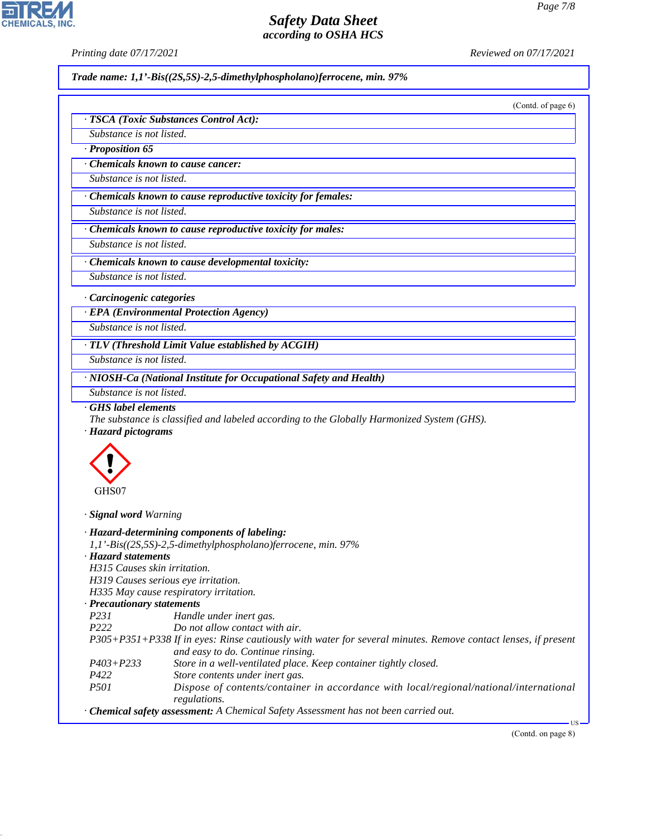*· TSCA (Toxic Substances Control Act):*

*Printing date 07/17/2021 Reviewed on 07/17/2021*

*Trade name: 1,1'-Bis((2S,5S)-2,5-dimethylphospholano)ferrocene, min. 97%*

(Contd. of page 6)

| Substance is not listed.                            |                                                                                                               |
|-----------------------------------------------------|---------------------------------------------------------------------------------------------------------------|
| · Proposition 65                                    |                                                                                                               |
|                                                     | Chemicals known to cause cancer:                                                                              |
| Substance is not listed.                            |                                                                                                               |
|                                                     |                                                                                                               |
|                                                     | · Chemicals known to cause reproductive toxicity for females:                                                 |
| Substance is not listed.                            |                                                                                                               |
|                                                     | Chemicals known to cause reproductive toxicity for males:                                                     |
| Substance is not listed.                            |                                                                                                               |
|                                                     |                                                                                                               |
|                                                     | Chemicals known to cause developmental toxicity:                                                              |
| Substance is not listed.                            |                                                                                                               |
| · Carcinogenic categories                           |                                                                                                               |
|                                                     | <b>EPA</b> (Environmental Protection Agency)                                                                  |
| Substance is not listed.                            |                                                                                                               |
|                                                     |                                                                                                               |
|                                                     | · TLV (Threshold Limit Value established by ACGIH)                                                            |
| Substance is not listed.                            |                                                                                                               |
|                                                     | · NIOSH-Ca (National Institute for Occupational Safety and Health)                                            |
| Substance is not listed.                            |                                                                                                               |
| · Hazard pictograms<br>GHS07                        |                                                                                                               |
| · Signal word Warning                               |                                                                                                               |
| · Hazard statements<br>H315 Causes skin irritation. | · Hazard-determining components of labeling:<br>1,1'-Bis((2S,5S)-2,5-dimethylphospholano)ferrocene, min. 97%  |
|                                                     | H319 Causes serious eye irritation.                                                                           |
|                                                     | H335 May cause respiratory irritation.                                                                        |
| <b>Precautionary statements</b>                     |                                                                                                               |
| P231                                                | Handle under inert gas.                                                                                       |
| P222                                                | Do not allow contact with air.                                                                                |
|                                                     | P305+P351+P338 If in eyes: Rinse cautiously with water for several minutes. Remove contact lenses, if present |
| $P403 + P233$                                       | and easy to do. Continue rinsing.<br>Store in a well-ventilated place. Keep container tightly closed.         |
| P422                                                | Store contents under inert gas.                                                                               |
| P501                                                | Dispose of contents/container in accordance with local/regional/national/international<br>regulations.        |
|                                                     | · Chemical safety assessment: A Chemical Safety Assessment has not been carried out.                          |
|                                                     | - US<br>(Contd. on page 8)                                                                                    |
|                                                     |                                                                                                               |
|                                                     |                                                                                                               |
|                                                     |                                                                                                               |
|                                                     |                                                                                                               |



44.1.1